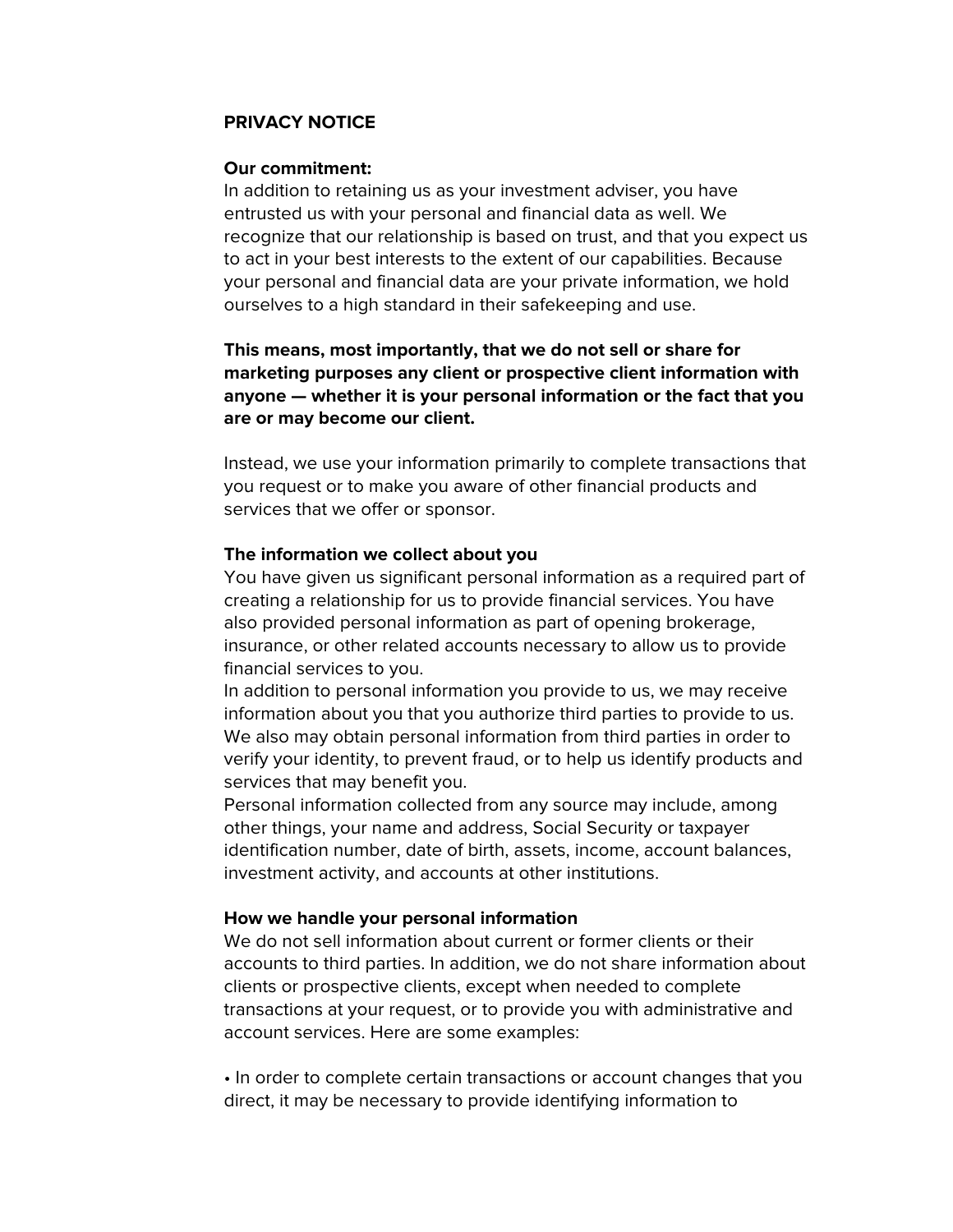# **PRIVACY NOTICE**

### **Our commitment:**

In addition to retaining us as your investment adviser, you have entrusted us with your personal and financial data as well. We recognize that our relationship is based on trust, and that you expect us to act in your best interests to the extent of our capabilities. Because your personal and financial data are your private information, we hold ourselves to a high standard in their safekeeping and use.

**This means, most importantly, that we do not sell or share for marketing purposes any client or prospective client information with anyone — whether it is your personal information or the fact that you are or may become our client.**

Instead, we use your information primarily to complete transactions that you request or to make you aware of other financial products and services that we offer or sponsor.

### **The information we collect about you**

You have given us significant personal information as a required part of creating a relationship for us to provide financial services. You have also provided personal information as part of opening brokerage, insurance, or other related accounts necessary to allow us to provide financial services to you.

In addition to personal information you provide to us, we may receive information about you that you authorize third parties to provide to us. We also may obtain personal information from third parties in order to verify your identity, to prevent fraud, or to help us identify products and services that may benefit you.

Personal information collected from any source may include, among other things, your name and address, Social Security or taxpayer identification number, date of birth, assets, income, account balances, investment activity, and accounts at other institutions.

### **How we handle your personal information**

We do not sell information about current or former clients or their accounts to third parties. In addition, we do not share information about clients or prospective clients, except when needed to complete transactions at your request, or to provide you with administrative and account services. Here are some examples:

• In order to complete certain transactions or account changes that you direct, it may be necessary to provide identifying information to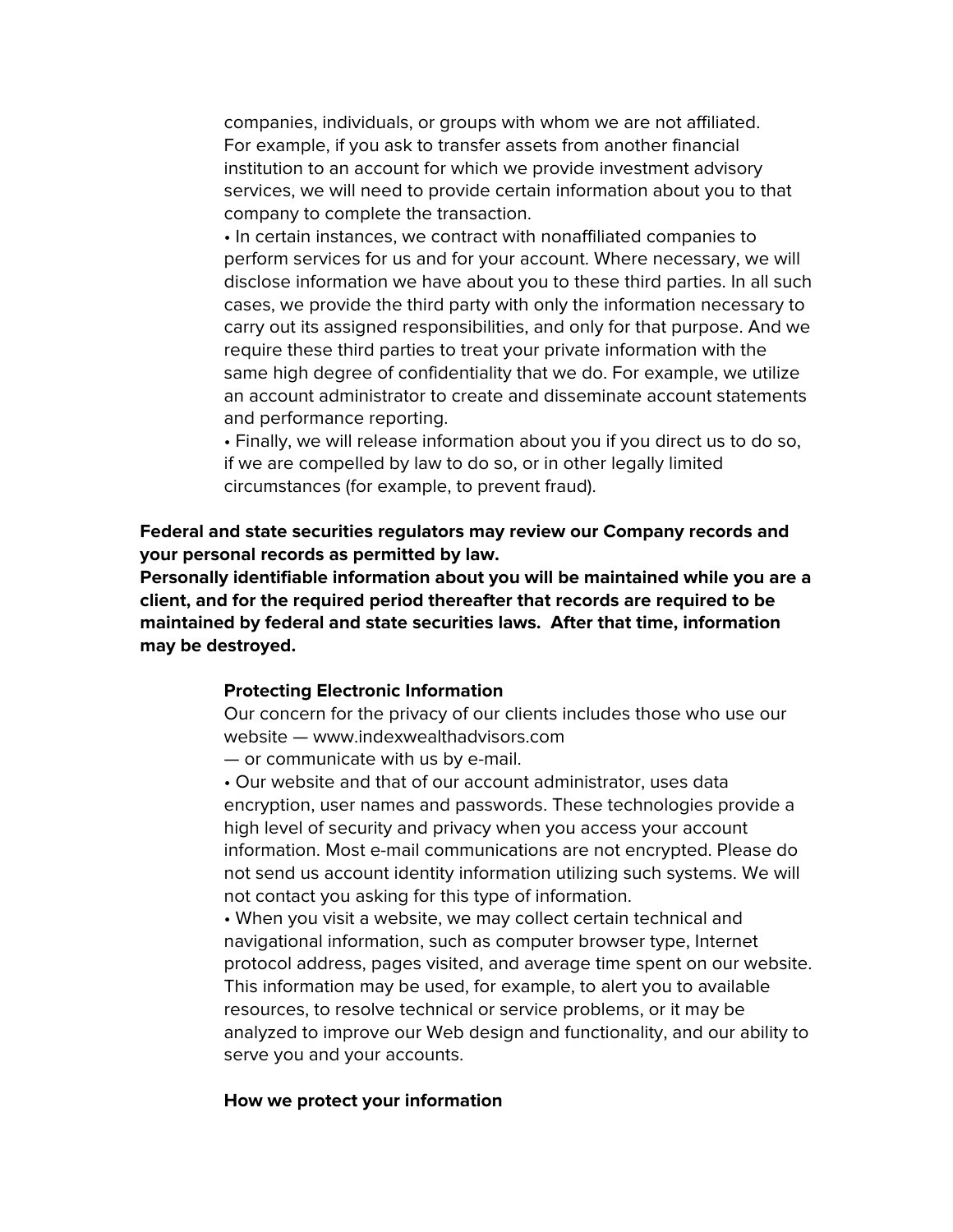companies, individuals, or groups with whom we are not affiliated. For example, if you ask to transfer assets from another financial institution to an account for which we provide investment advisory services, we will need to provide certain information about you to that company to complete the transaction.

• In certain instances, we contract with nonaffiliated companies to perform services for us and for your account. Where necessary, we will disclose information we have about you to these third parties. In all such cases, we provide the third party with only the information necessary to carry out its assigned responsibilities, and only for that purpose. And we require these third parties to treat your private information with the same high degree of confidentiality that we do. For example, we utilize an account administrator to create and disseminate account statements and performance reporting.

• Finally, we will release information about you if you direct us to do so, if we are compelled by law to do so, or in other legally limited circumstances (for example, to prevent fraud).

**Federal and state securities regulators may review our Company records and your personal records as permitted by law.**

**Personally identifiable information about you will be maintained while you are a client, and for the required period thereafter that records are required to be maintained by federal and state securities laws. After that time, information may be destroyed.**

## **Protecting Electronic Information**

Our concern for the privacy of our clients includes those who use our website — www.indexwealthadvisors.com

— or communicate with us by e-mail.

• Our website and that of our account administrator, uses data encryption, user names and passwords. These technologies provide a high level of security and privacy when you access your account information. Most e-mail communications are not encrypted. Please do not send us account identity information utilizing such systems. We will not contact you asking for this type of information.

• When you visit a website, we may collect certain technical and navigational information, such as computer browser type, Internet protocol address, pages visited, and average time spent on our website. This information may be used, for example, to alert you to available resources, to resolve technical or service problems, or it may be analyzed to improve our Web design and functionality, and our ability to serve you and your accounts.

#### **How we protect your information**